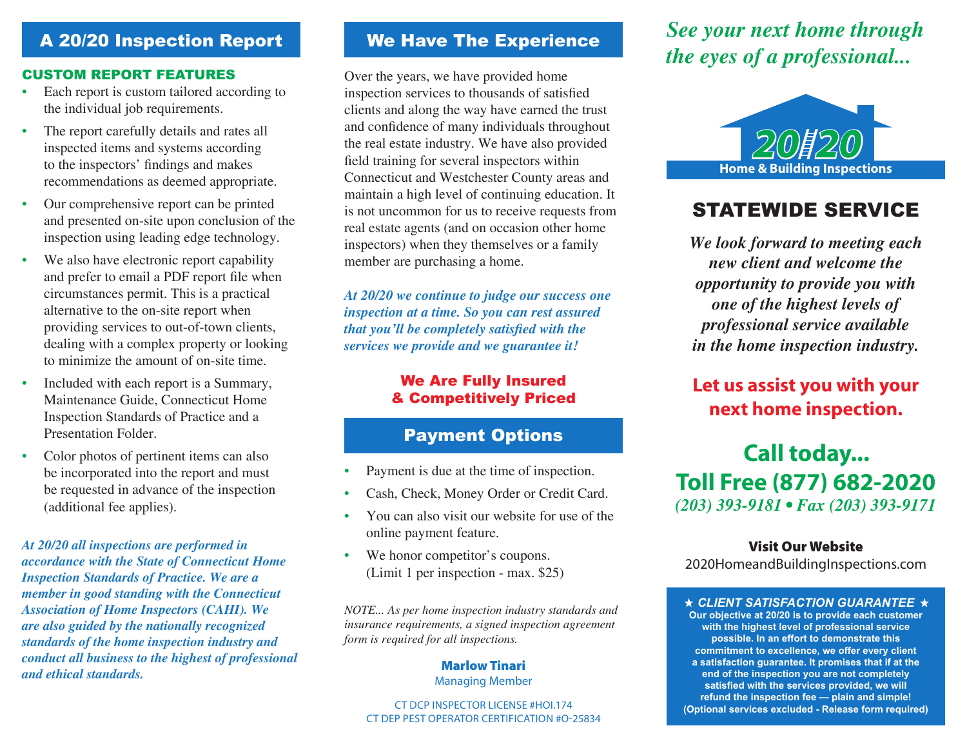## A 20/20 Inspection Report

#### Custom Report features

- Each report is custom tailored according to the individual job requirements.
- The report carefully details and rates all inspected items and systems according to the inspectors' findings and makes recommendations as deemed appropriate.
- Our comprehensive report can be printed and presented on-site upon conclusion of the inspection using leading edge technology.
- We also have electronic report capability and prefer to email a PDF report file when circumstances permit. This is a practical alternative to the on-site report when providing services to out-of-town clients, dealing with a complex property or looking to minimize the amount of on-site time.
- Included with each report is a Summary, Maintenance Guide, Connecticut Home Inspection Standards of Practice and a Presentation Folder.
- Color photos of pertinent items can also be incorporated into the report and must be requested in advance of the inspection (additional fee applies).

*At 20/20 all inspections are performed in accordance with the State of Connecticut Home Inspection Standards of Practice. We are a member in good standing with the Connecticut Association of Home Inspectors (CAHI). We are also guided by the nationally recognized standards of the home inspection industry and conduct all business to the highest of professional and ethical standards.*

### We Have The Experience

Over the years, we have provided home inspection services to thousands of satisfied clients and along the way have earned the trust and confidence of many individuals throughout the real estate industry. We have also provided field training for several inspectors within Connecticut and Westchester County areas and maintain a high level of continuing education. It is not uncommon for us to receive requests from real estate agents (and on occasion other home inspectors) when they themselves or a family member are purchasing a home.

*At 20/20 we continue to judge our success one inspection at a time. So you can rest assured that you'll be completely satisfied with the services we provide and we guarantee it!*

### We Are Fully Insured & Competitively Priced

## Payment Options

- Payment is due at the time of inspection.
- Cash, Check, Money Order or Credit Card.
- You can also visit our website for use of the online payment feature.
- We honor competitor's coupons. (Limit 1 per inspection - max. \$25)

*NOTE... As per home inspection industry standards and insurance requirements, a signed inspection agreement form is required for all inspections.*

#### Marlow Tinari Managing Member

#### CT DCP Inspector License #HOI.174 CT DEP PEST Operator Certification #O-25834

# *See your next home through the eyes of a professional...*



# STATEWIDE SERVICE

*We look forward to meeting each new client and welcome the opportunity to provide you with one of the highest levels of professional service available in the home inspection industry.*

# **Let us assist you with your next home inspection.**

# **Call today... Toll Free (877) 682-2020** *(203) 393-9181 • Fax (203) 393-9171*

### Visit Our Website

2020HomeandBuildingInspections.com

**★ CLIENT SATISFACTION GUARANTEE ★ Our objective at 20/20 is to provide each customer with the highest level of professional service possible. In an effort to demonstrate this commitment to excellence, we offer every client a satisfaction guarantee. It promises that if at the end of the inspection you are not completely satisfied with the services provided, we will refund the inspection fee — plain and simple! (Optional services excluded - Release form required)**